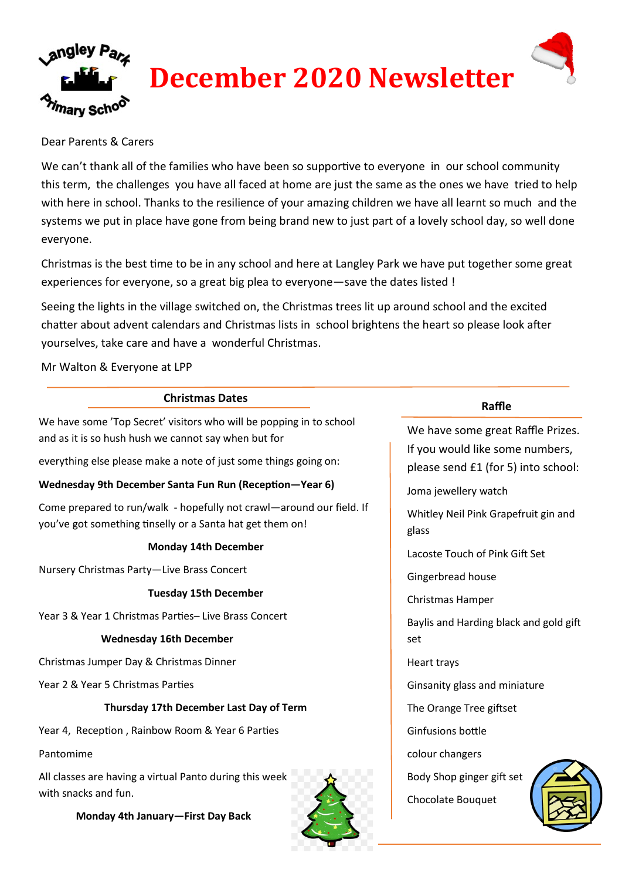

### Dear Parents & Carers

We can't thank all of the families who have been so supportive to everyone in our school community this term, the challenges you have all faced at home are just the same as the ones we have tried to help with here in school. Thanks to the resilience of your amazing children we have all learnt so much and the systems we put in place have gone from being brand new to just part of a lovely school day, so well done everyone.

Christmas is the best time to be in any school and here at Langley Park we have put together some great experiences for everyone, so a great big plea to everyone—save the dates listed !

Seeing the lights in the village switched on, the Christmas trees lit up around school and the excited chatter about advent calendars and Christmas lists in school brightens the heart so please look after yourselves, take care and have a wonderful Christmas.

Mr Walton & Everyone at LPP

### **Christmas Dates**

We have some 'Top Secret' visitors who will be popping in to school and as it is so hush hush we cannot say when but for

everything else please make a note of just some things going on:

### **Wednesday 9th December Santa Fun Run (Reception—Year 6)**

Come prepared to run/walk - hopefully not crawl—around our field. If you've got something tinselly or a Santa hat get them on!

### **Monday 14th December**

Nursery Christmas Party—Live Brass Concert

#### **Tuesday 15th December**

Year 3 & Year 1 Christmas Parties– Live Brass Concert

### **Wednesday 16th December**

Christmas Jumper Day & Christmas Dinner

Year 2 & Year 5 Christmas Parties

### **Thursday 17th December Last Day of Term**

Year 4, Reception , Rainbow Room & Year 6 Parties

Pantomime

All classes are having a virtual Panto during this week with snacks and fun.



**Raffle**

We have some great Raffle Prizes. If you would like some numbers, please send £1 (for 5) into school:

Joma jewellery watch

Whitley Neil Pink Grapefruit gin and glass

Lacoste Touch of Pink Gift Set

Gingerbread house

Christmas Hamper

Baylis and Harding black and gold gift set

Heart trays

Ginsanity glass and miniature

The Orange Tree giftset

Ginfusions bottle

colour changers

Body Shop ginger gift set

Chocolate Bouquet



**Monday 4th January—First Day Back**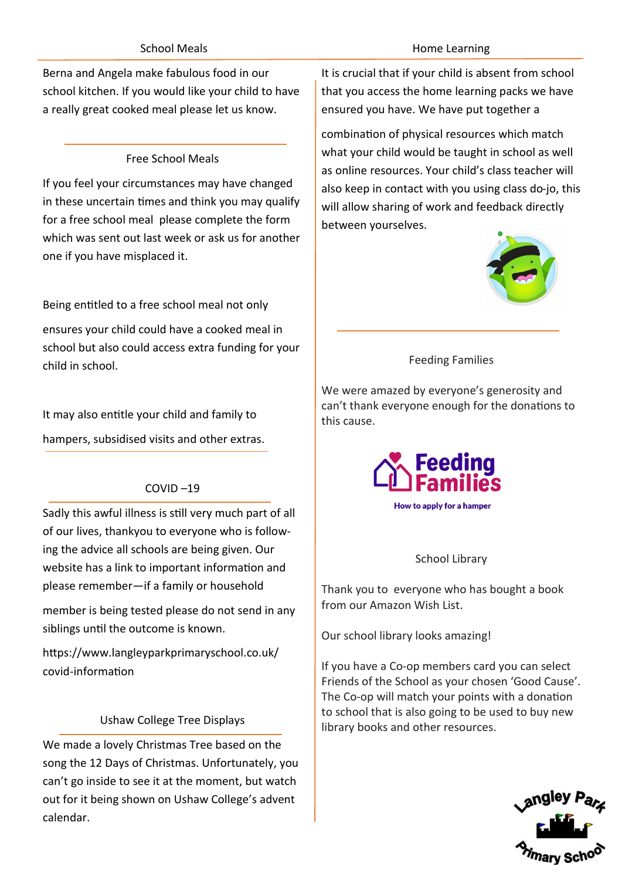## School Meals

Berna and Angela make fabulous food in our school kitchen. If you would like your child to have a really great cooked meal please let us know.

# Free School Meals

If you feel your circumstances may have changed in these uncertain times and think you may qualify for a free school meal please complete the form which was sent out last week or ask us for another one if you have misplaced it.

Being entitled to a free school meal not only

ensures your child could have a cooked meal in school but also could access extra funding for your child in school.

It may also entitle your child and family to hampers, subsidised visits and other extras.

# COVID –19

Sadly this awful illness is still very much part of all of our lives, thankyou to everyone who is following the advice all schools are being given. Our website has a link to important information and please remember—if a family or household

member is being tested please do not send in any siblings until the outcome is known.

https://www.langleyparkprimaryschool.co.uk/ covid-information

## Ushaw College Tree Displays

We made a lovely Christmas Tree based on the song the 12 Days of Christmas. Unfortunately, you can't go inside to see it at the moment, but watch out for it being shown on Ushaw College's advent calendar.

### Home Learning

It is crucial that if your child is absent from school that you access the home learning packs we have ensured you have. We have put together a

combination of physical resources which match what your child would be taught in school as well as online resources. Your child's class teacher will also keep in contact with you using class do-jo, this will allow sharing of work and feedback directly between yourselves.



# Feeding Families

We were amazed by everyone's generosity and can't thank everyone enough for the donations to this cause.



How to apply for a hamper

### School Library

Thank you to everyone who has bought a book from our Amazon Wish List.

Our school library looks amazing!

If you have a Co-op members card you can select Friends of the School as your chosen 'Good Cause'. The Co-op will match your points with a donation to school that is also going to be used to buy new library books and other resources.